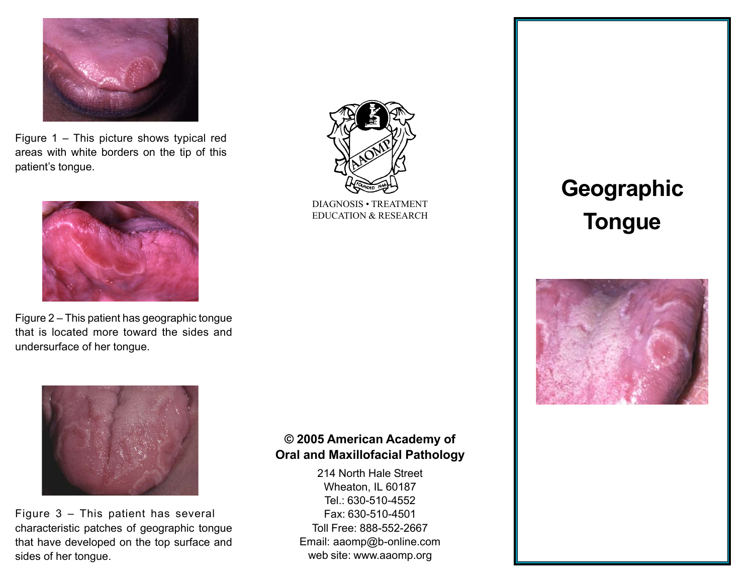

Figure  $1 -$  This picture shows typical red areas with white borders on the tip of this patient's tongue.



Figure  $2 -$  This patient has geographic tongue that is located more toward the sides and undersurface of her tongue.



Figure  $3 -$  This patient has several characteristic patches of geographic tongue that have developed on the top surface and sides of her tongue.

## © 2005 American Academy of Oral and Maxillofacial Pathology

214 North Hale Street Wheaton, IL 60187 Tel.: 630-510-4552 Fax: 630-510-4501 Toll Free: 888-552-2667 Email: aaomp@b-online.com web site: www.aaomp.org

# **Geographic** Tongue





EDUCATION & RESEARCH